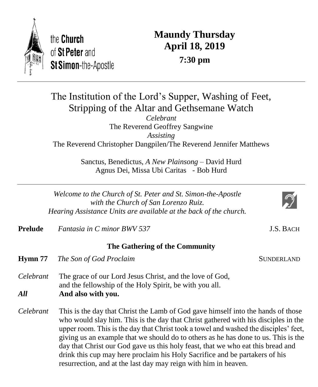

the Church of St Peter and **St Simon-the-Apostle** 

# **Maundy Thursday April 18, 2019 7:30 pm**

The Institution of the Lord's Supper, Washing of Feet, Stripping of the Altar and Gethsemane Watch

*Celebrant* The Reverend Geoffrey Sangwine *Assisting* The Reverend Christopher Dangpilen/The Reverend Jennifer Matthews

> Sanctus, Benedictus, *A New Plainsong* – David Hurd Agnus Dei, Missa Ubi Caritas - Bob Hurd

*Welcome to the Church of St. Peter and St. Simon-the-Apostle with the Church of San Lorenzo Ruiz. Hearing Assistance Units are available at the back of the church.*



# **The Gathering of the Community**

**Hymn 77** *The Son of God Proclaim* SUNDERLAND

- *Celebrant* The grace of our Lord Jesus Christ, and the love of God, and the fellowship of the Holy Spirit, be with you all. *All* **And also with you.**
- *Celebrant* This is the day that Christ the Lamb of God gave himself into the hands of those who would slay him. This is the day that Christ gathered with his disciples in the upper room. This is the day that Christ took a towel and washed the disciples' feet, giving us an example that we should do to others as he has done to us. This is the day that Christ our God gave us this holy feast, that we who eat this bread and drink this cup may here proclaim his Holy Sacrifice and be partakers of his resurrection, and at the last day may reign with him in heaven.

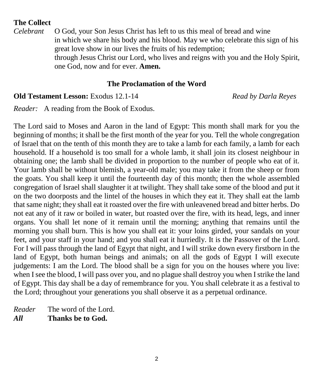# **The Collect**

*Celebrant* O God, your Son Jesus Christ has left to us this meal of bread and wine in which we share his body and his blood. May we who celebrate this sign of his great love show in our lives the fruits of his redemption; through Jesus Christ our Lord, who lives and reigns with you and the Holy Spirit, one God, now and for ever. **Amen.** 

# **The Proclamation of the Word**

**Old Testament Lesson:** Exodus 12.1-14 *Read by Darla Reyes*

*Reader:* A reading from the Book of Exodus.

The Lord said to Moses and Aaron in the land of Egypt: This month shall mark for you the beginning of months; it shall be the first month of the year for you. Tell the whole congregation of Israel that on the tenth of this month they are to take a lamb for each family, a lamb for each household. If a household is too small for a whole lamb, it shall join its closest neighbour in obtaining one; the lamb shall be divided in proportion to the number of people who eat of it. Your lamb shall be without blemish, a year-old male; you may take it from the sheep or from the goats. You shall keep it until the fourteenth day of this month; then the whole assembled congregation of Israel shall slaughter it at twilight. They shall take some of the blood and put it on the two doorposts and the lintel of the houses in which they eat it. They shall eat the lamb that same night; they shall eat it roasted over the fire with unleavened bread and bitter herbs. Do not eat any of it raw or boiled in water, but roasted over the fire, with its head, legs, and inner organs. You shall let none of it remain until the morning; anything that remains until the morning you shall burn. This is how you shall eat it: your loins girded, your sandals on your feet, and your staff in your hand; and you shall eat it hurriedly. It is the Passover of the Lord. For I will pass through the land of Egypt that night, and I will strike down every firstborn in the land of Egypt, both human beings and animals; on all the gods of Egypt I will execute judgements: I am the Lord. The blood shall be a sign for you on the houses where you live: when I see the blood, I will pass over you, and no plague shall destroy you when I strike the land of Egypt. This day shall be a day of remembrance for you. You shall celebrate it as a festival to the Lord; throughout your generations you shall observe it as a perpetual ordinance.

*Reader* The word of the Lord. *All* **Thanks be to God.**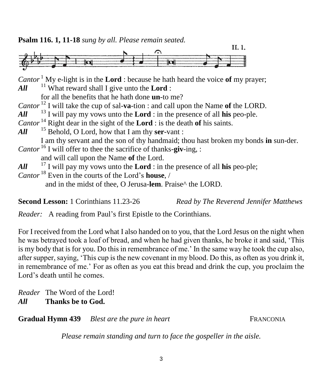**Psalm 116. 1, 11-18** *sung by all. Please remain seated.*



**Second Lesson:** 1 Corinthians 11.23-26 *Read by The Reverend Jennifer Matthews*

*Reader:* A reading from Paul's first Epistle to the Corinthians.

For I received from the Lord what I also handed on to you, that the Lord Jesus on the night when he was betrayed took a loaf of bread, and when he had given thanks, he broke it and said, 'This is my body that is for you. Do this in remembrance of me.' In the same way he took the cup also, after supper, saying, 'This cup is the new covenant in my blood. Do this, as often as you drink it, in remembrance of me.' For as often as you eat this bread and drink the cup, you proclaim the Lord's death until he comes.

*Reader* The Word of the Lord! *All* **Thanks be to God.**

**Gradual Hymn 439** *Blest are the pure in heart* FRANCONIA

*Please remain standing and turn to face the gospeller in the aisle.*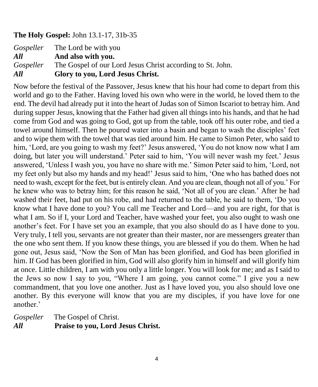# **The Holy Gospel:** John 13.1-17, 31b-35

|           | <i>Gospeller</i> The Lord be with you                      |
|-----------|------------------------------------------------------------|
| All       | And also with you.                                         |
| Gospeller | The Gospel of our Lord Jesus Christ according to St. John. |
| All       | Glory to you, Lord Jesus Christ.                           |

Now before the festival of the Passover, Jesus knew that his hour had come to depart from this world and go to the Father. Having loved his own who were in the world, he loved them to the end. The devil had already put it into the heart of Judas son of Simon Iscariot to betray him. And during supper Jesus, knowing that the Father had given all things into his hands, and that he had come from God and was going to God, got up from the table, took off his outer robe, and tied a towel around himself. Then he poured water into a basin and began to wash the disciples' feet and to wipe them with the towel that was tied around him. He came to Simon Peter, who said to him, 'Lord, are you going to wash my feet?' Jesus answered, 'You do not know now what I am doing, but later you will understand.' Peter said to him, 'You will never wash my feet.' Jesus answered, 'Unless I wash you, you have no share with me.' Simon Peter said to him, 'Lord, not my feet only but also my hands and my head!' Jesus said to him, 'One who has bathed does not need to wash, except for the feet, but is entirely clean. And you are clean, though not all of you.' For he knew who was to betray him; for this reason he said, 'Not all of you are clean.' After he had washed their feet, had put on his robe, and had returned to the table, he said to them, 'Do you know what I have done to you? You call me Teacher and Lord—and you are right, for that is what I am. So if I, your Lord and Teacher, have washed your feet, you also ought to wash one another's feet. For I have set you an example, that you also should do as I have done to you. Very truly, I tell you, servants are not greater than their master, nor are messengers greater than the one who sent them. If you know these things, you are blessed if you do them. When he had gone out, Jesus said, 'Now the Son of Man has been glorified, and God has been glorified in him. If God has been glorified in him, God will also glorify him in himself and will glorify him at once. Little children, I am with you only a little longer. You will look for me; and as I said to the Jews so now I say to you, "Where I am going, you cannot come." I give you a new commandment, that you love one another. Just as I have loved you, you also should love one another. By this everyone will know that you are my disciples, if you have love for one another.'

*Gospeller* The Gospel of Christ. *All* **Praise to you, Lord Jesus Christ.**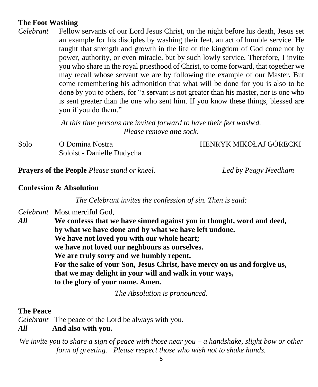# **The Foot Washing**

*Celebrant* Fellow servants of our Lord Jesus Christ, on the night before his death, Jesus set an example for his disciples by washing their feet, an act of humble service. He taught that strength and growth in the life of the kingdom of God come not by power, authority, or even miracle, but by such lowly service. Therefore, I invite you who share in the royal priesthood of Christ, to come forward, that together we may recall whose servant we are by following the example of our Master. But come remembering his admonition that what will be done for you is also to be done by you to others, for "a servant is not greater than his master, nor is one who is sent greater than the one who sent him. If you know these things, blessed are you if you do them."

> *At this time persons are invited forward to have their feet washed. Please remove one sock.*

Solo O Domina Nostra **HENRYK MIKOŁAJ GÓRECKI** Soloist - Danielle Dudycha

**Prayers of the People** *Please stand or kneel. Led by Peggy Needham*

#### **Confession & Absolution**

*The Celebrant invites the confession of sin. Then is said:*

*Celebrant* Most merciful God,

*All* **We confesss that we have sinned against you in thought, word and deed, by what we have done and by what we have left undone. We have not loved you with our whole heart; we have not loved our neghbours as ourselves. We are truly sorry and we humbly repent. For the sake of your Son, Jesus Christ, have mercy on us and forgive us, that we may delight in your will and walk in your ways, to the glory of your name. Amen.** 

*The Absolution is pronounced.*

#### **The Peace**

*Celebrant* The peace of the Lord be always with you. *All* **And also with you.**

*We invite you to share a sign of peace with those near you – a handshake, slight bow or other form of greeting. Please respect those who wish not to shake hands.*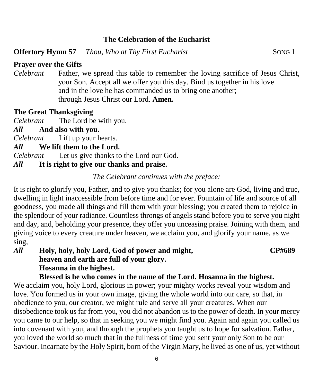#### **The Celebration of the Eucharist**

**Offertory Hymn 57** *Thou, Who at Thy First Eucharist* SONG 1

#### **Prayer over the Gifts**

*Celebrant* Father, we spread this table to remember the loving sacrifice of Jesus Christ, your Son. Accept all we offer you this day. Bind us together in his love and in the love he has commanded us to bring one another; through Jesus Christ our Lord. **Amen.**

#### **The Great Thanksgiving**

*Celebrant* The Lord be with you.

*All* **And also with you.**

*Celebrant* Lift up your hearts.

*All* **We lift them to the Lord.**

*Celebrant* Let us give thanks to the Lord our God.

# *All* **It is right to give our thanks and praise.**

#### *The Celebrant continues with the preface:*

It is right to glorify you, Father, and to give you thanks; for you alone are God, living and true, dwelling in light inaccessible from before time and for ever. Fountain of life and source of all goodness, you made all things and fill them with your blessing; you created them to rejoice in the splendour of your radiance. Countless throngs of angels stand before you to serve you night and day, and, beholding your presence, they offer you unceasing praise. Joining with them, and giving voice to every creature under heaven, we acclaim you, and glorify your name, as we sing,

*All* **Holy, holy, holy Lord, God of power and might, CP#689 heaven and earth are full of your glory. Hosanna in the highest.**

**Blessed is he who comes in the name of the Lord. Hosanna in the highest.** We acclaim you, holy Lord, glorious in power; your mighty works reveal your wisdom and love. You formed us in your own image, giving the whole world into our care, so that, in obedience to you, our creator, we might rule and serve all your creatures. When our disobedience took us far from you, you did not abandon us to the power of death. In your mercy you came to our help, so that in seeking you we might find you. Again and again you called us into covenant with you, and through the prophets you taught us to hope for salvation. Father, you loved the world so much that in the fullness of time you sent your only Son to be our Saviour. Incarnate by the Holy Spirit, born of the Virgin Mary, he lived as one of us, yet without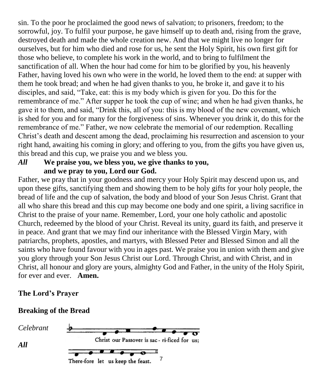sin. To the poor he proclaimed the good news of salvation; to prisoners, freedom; to the sorrowful, joy. To fulfil your purpose, he gave himself up to death and, rising from the grave, destroyed death and made the whole creation new. And that we might live no longer for ourselves, but for him who died and rose for us, he sent the Holy Spirit, his own first gift for those who believe, to complete his work in the world, and to bring to fulfilment the sanctification of all. When the hour had come for him to be glorified by you, his heavenly Father, having loved his own who were in the world, he loved them to the end: at supper with them he took bread; and when he had given thanks to you, he broke it, and gave it to his disciples, and said, "Take, eat: this is my body which is given for you. Do this for the remembrance of me." After supper he took the cup of wine; and when he had given thanks, he gave it to them, and said, "Drink this, all of you: this is my blood of the new covenant, which is shed for you and for many for the forgiveness of sins. Whenever you drink it, do this for the remembrance of me." Father, we now celebrate the memorial of our redemption. Recalling Christ's death and descent among the dead, proclaiming his resurrection and ascension to your right hand, awaiting his coming in glory; and offering to you, from the gifts you have given us, this bread and this cup, we praise you and we bless you.

# *All* **We praise you, we bless you, we give thanks to you, and we pray to you, Lord our God.**

Father, we pray that in your goodness and mercy your Holy Spirit may descend upon us, and upon these gifts, sanctifying them and showing them to be holy gifts for your holy people, the bread of life and the cup of salvation, the body and blood of your Son Jesus Christ. Grant that all who share this bread and this cup may become one body and one spirit, a living sacrifice in Christ to the praise of your name. Remember, Lord, your one holy catholic and apostolic Church, redeemed by the blood of your Christ. Reveal its unity, guard its faith, and preserve it in peace. And grant that we may find our inheritance with the Blessed Virgin Mary, with patriarchs, prophets, apostles, and martyrs, with Blessed Peter and Blessed Simon and all the saints who have found favour with you in ages past. We praise you in union with them and give you glory through your Son Jesus Christ our Lord. Through Christ, and with Christ, and in Christ, all honour and glory are yours, almighty God and Father, in the unity of the Holy Spirit, for ever and ever. **Amen.**

# **The Lord's Prayer**

#### **Breaking of the Bread**

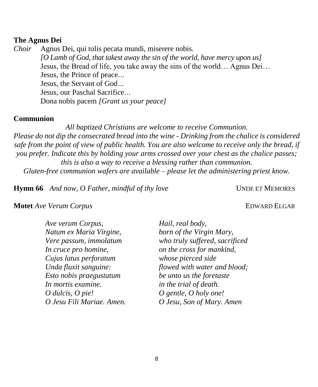#### **The Agnus Dei**

*Choir* Agnus Dei, qui tolis pecata mundi, miserere nobis. *[O Lamb of God, that takest away the sin of the world, have mercy upon us]* Jesus, the Bread of life, you take away the sins of the world… Agnus Dei… Jesus, the Prince of peace*…* Jesus, the Servant of God*…* Jesus, our Paschal Sacrifice*…* Dona nobis pacem *[Grant us your peace]*

#### **Communion**

*All baptized Christians are welcome to receive Communion. Please do not dip the consecrated bread into the wine - Drinking from the chalice is considered safe from the point of view of public health. You are also welcome to receive only the bread, if you prefer. Indicate this by holding your arms crossed over your chest as the chalice passes; this is also a way to receive a blessing rather than communion.*

*Gluten-free communion wafers are available – please let the administering priest know.*

**Hymn 66** *And now, O Father, mindful of thy love* UNDE ET MEMORES

#### **Motet** *Ave Verum Corpus* EDWARD ELGAR

| Ave verum Corpus,         |
|---------------------------|
| Natum ex Maria Virgine,   |
| Vere passum, immolatum    |
| In cruce pro homine,      |
| Cujus latus perforatum    |
| Unda fluxit sanguine:     |
| Esto nobis praegustatum   |
| In mortis examine.        |
| O dulcis, O pie!          |
| O Jesu Fili Mariae. Amen. |

*Hail, real body, born of the Virgin Mary, who truly suffered, sacrificed on the cross for mankind, whose pierced side flowed with water and blood; be unto us the foretaste in the trial of death. O gentle, O holy one! O Jesu, Son of Mary. Amen*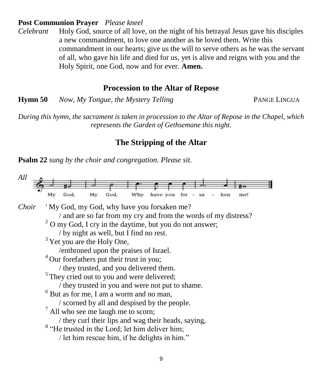#### **Post Communion Prayer** *Please kneel*

*Celebrant* Holy God, source of all love, on the night of his betrayal Jesus gave his disciples a new commandment, to love one another as he loved them. Write this commandment in our hearts; give us the will to serve others as he was the servant of all, who gave his life and died for us, yet is alive and reigns with you and the Holy Spirit, one God, now and for ever. **Amen.**

#### **Procession to the Altar of Repose**

**Hymn 50** *Now, My Tongue, the Mystery Telling* PANGE LINGUA

*During this hymn, the sacrament is taken in procession to the Altar of Repose in the Chapel, which represents the Garden of Gethsemane this night.*

# **The Stripping of the Altar**

**Psalm 22** *sung by the choir and congregation. Please sit.*

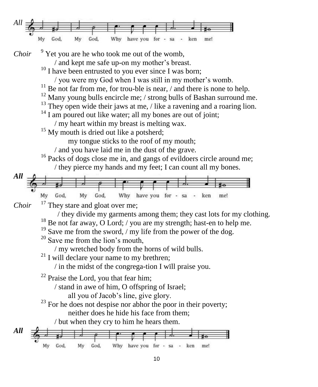